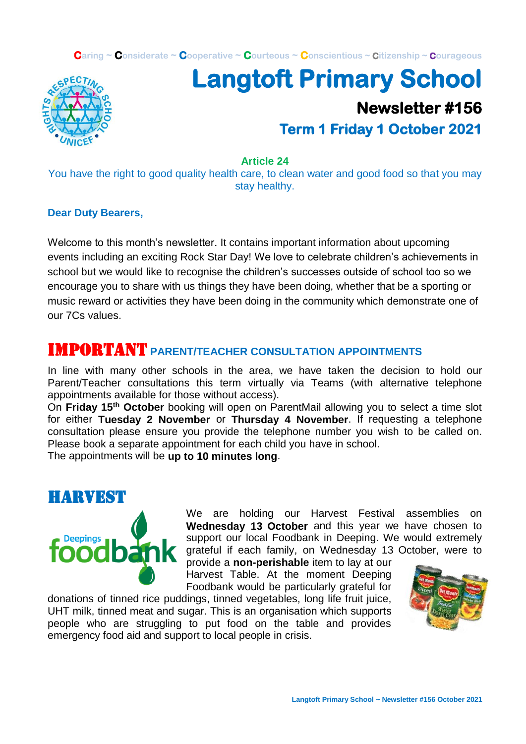**Caring ~ Considerate ~ Cooperative ~ Courteous ~ Conscientious ~ Citizenship ~ Courageous**



# **Langtoft Primary School Newsletter #156 Term 1 Friday 1 October 2021**

**Article 24**

You have the right to good quality health care, to clean water and good food so that you may stay healthy.

#### **Dear Duty Bearers,**

Welcome to this month's newsletter. It contains important information about upcoming events including an exciting Rock Star Day! We love to celebrate children's achievements in school but we would like to recognise the children's successes outside of school too so we encourage you to share with us things they have been doing, whether that be a sporting or music reward or activities they have been doing in the community which demonstrate one of our 7Cs values.

#### IMPORTANT **PARENT/TEACHER CONSULTATION APPOINTMENTS**

In line with many other schools in the area, we have taken the decision to hold our Parent/Teacher consultations this term virtually via Teams (with alternative telephone appointments available for those without access).

On **Friday 15th October** booking will open on ParentMail allowing you to select a time slot for either **Tuesday 2 November** or **Thursday 4 November**. If requesting a telephone consultation please ensure you provide the telephone number you wish to be called on. Please book a separate appointment for each child you have in school.

The appointments will be **up to 10 minutes long**.



We are holding our Harvest Festival assemblies on **Wednesday 13 October** and this year we have chosen to support our local Foodbank in Deeping. We would extremely grateful if each family, on Wednesday 13 October, were to

provide a **non-perishable** item to lay at our Harvest Table. At the moment Deeping Foodbank would be particularly grateful for

donations of tinned rice puddings, tinned vegetables, long life fruit juice, UHT milk, tinned meat and sugar. This is an organisation which supports people who are struggling to put food on the table and provides emergency food aid and support to local people in crisis.

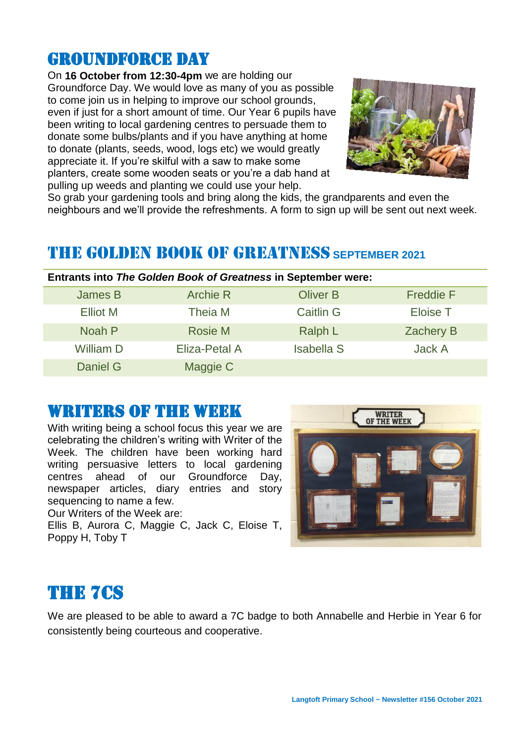### GROUNDFORCE DAY

On **16 October from 12:30-4pm** we are holding our Groundforce Day. We would love as many of you as possible to come join us in helping to improve our school grounds, even if just for a short amount of time. Our Year 6 pupils have been writing to local gardening centres to persuade them to donate some bulbs/plants and if you have anything at home to donate (plants, seeds, wood, logs etc) we would greatly appreciate it. If you're skilful with a saw to make some planters, create some wooden seats or you're a dab hand at pulling up weeds and planting we could use your help.



So grab your gardening tools and bring along the kids, the grandparents and even the neighbours and we'll provide the refreshments. A form to sign up will be sent out next week.

## THE GOLDEN BOOK OF GREATNESS **SEPTEMBER 2021**

|                  | <b>Entrants into The Golden Book of Greatness in September were:</b> |                   |                  |
|------------------|----------------------------------------------------------------------|-------------------|------------------|
| James B          | <b>Archie R</b>                                                      | <b>Oliver B</b>   | <b>Freddie F</b> |
| Elliot M         | Theia M                                                              | <b>Caitlin G</b>  | <b>Eloise T</b>  |
| Noah P           | Rosie M                                                              | Ralph L           | <b>Zachery B</b> |
| <b>William D</b> | Eliza-Petal A                                                        | <b>Isabella S</b> | Jack A           |
| Daniel G         | Maggie C                                                             |                   |                  |

#### WRITERS OF THE WEEK

With writing being a school focus this year we are celebrating the children's writing with Writer of the Week. The children have been working hard writing persuasive letters to local gardening centres ahead of our Groundforce Day, newspaper articles, diary entries and story sequencing to name a few.

Our Writers of the Week are:

Ellis B, Aurora C, Maggie C, Jack C, Eloise T, Poppy H, Toby T



# THE 7Cs

We are pleased to be able to award a 7C badge to both Annabelle and Herbie in Year 6 for consistently being courteous and cooperative.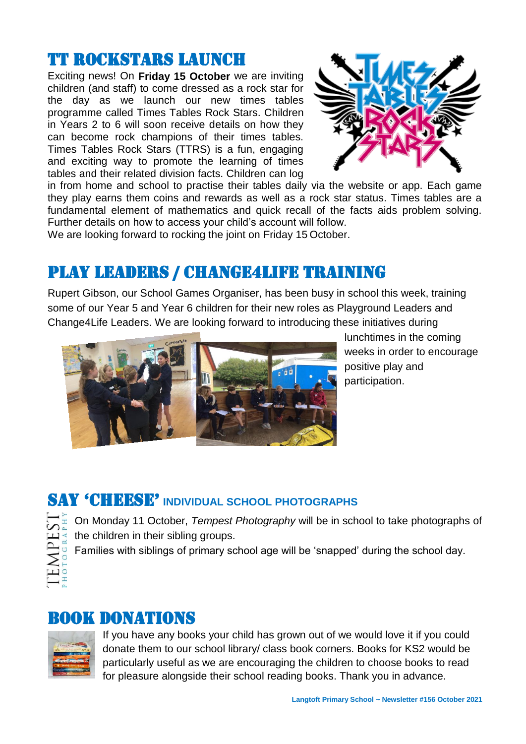### TT Rockstars launch

Exciting news! On **Friday 15 October** we are inviting children (and staff) to come dressed as a rock star for the day as we launch our new times tables programme called Times Tables Rock Stars. Children in Years 2 to 6 will soon receive details on how they can become rock champions of their times tables. Times Tables Rock Stars (TTRS) is a fun, engaging and exciting way to promote the learning of times tables and their related division facts. Children can log



in from home and school to practise their tables daily via the website or app. Each game they play earns them coins and rewards as well as a rock star status. Times tables are a fundamental element of mathematics and quick recall of the facts aids problem solving. Further details on how to access your child's account will follow.

We are looking forward to rocking the joint on Friday 15 October.

# Play leaders / Change4life training

Rupert Gibson, our School Games Organiser, has been busy in school this week, training some of our Year 5 and Year 6 children for their new roles as Playground Leaders and Change4Life Leaders. We are looking forward to introducing these initiatives during



lunchtimes in the coming weeks in order to encourage positive play and participation.

# SAY 'CHEESE' **INDIVIDUAL SCHOOL PHOTOGRAPHS**

| É<br>∍ |
|--------|
| C      |
| ۴      |
|        |
|        |
|        |
| L      |
| ⊢      |
|        |
|        |

On Monday 11 October, *Tempest Photography* will be in school to take photographs of the children in their sibling groups.

Families with siblings of primary school age will be 'snapped' during the school day.

### Book donations



If you have any books your child has grown out of we would love it if you could donate them to our school library/ class book corners. Books for KS2 would be particularly useful as we are encouraging the children to choose books to read for pleasure alongside their school reading books. Thank you in advance.